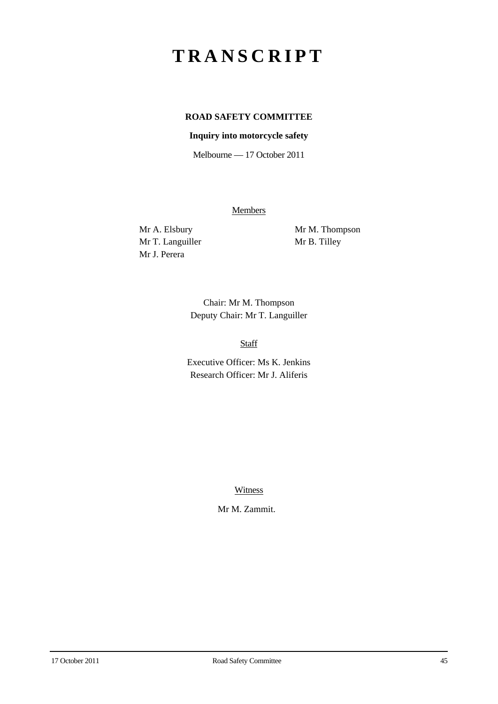## **TRANSCRIPT**

## **ROAD SAFETY COMMITTEE**

## **Inquiry into motorcycle safety**

Melbourne — 17 October 2011

**Members** 

Mr T. Languiller Mr B. Tilley Mr J. Perera

Mr A. Elsbury Mr M. Thompson

Chair: Mr M. Thompson Deputy Chair: Mr T. Languiller

Staff

Executive Officer: Ms K. Jenkins Research Officer: Mr J. Aliferis

Witness

Mr M. Zammit.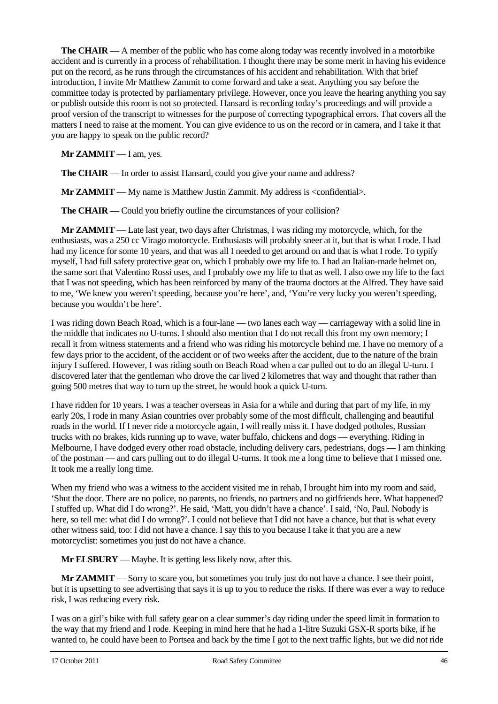**The CHAIR** — A member of the public who has come along today was recently involved in a motorbike accident and is currently in a process of rehabilitation. I thought there may be some merit in having his evidence put on the record, as he runs through the circumstances of his accident and rehabilitation. With that brief introduction, I invite Mr Matthew Zammit to come forward and take a seat. Anything you say before the committee today is protected by parliamentary privilege. However, once you leave the hearing anything you say or publish outside this room is not so protected. Hansard is recording today's proceedings and will provide a proof version of the transcript to witnesses for the purpose of correcting typographical errors. That covers all the matters I need to raise at the moment. You can give evidence to us on the record or in camera, and I take it that you are happy to speak on the public record?

**Mr ZAMMIT** — I am, yes.

**The CHAIR** — In order to assist Hansard, could you give your name and address?

**Mr ZAMMIT** — My name is Matthew Justin Zammit. My address is <confidential>.

**The CHAIR** — Could you briefly outline the circumstances of your collision?

**Mr ZAMMIT** — Late last year, two days after Christmas, I was riding my motorcycle, which, for the enthusiasts, was a 250 cc Virago motorcycle. Enthusiasts will probably sneer at it, but that is what I rode. I had had my licence for some 10 years, and that was all I needed to get around on and that is what I rode. To typify myself, I had full safety protective gear on, which I probably owe my life to. I had an Italian-made helmet on, the same sort that Valentino Rossi uses, and I probably owe my life to that as well. I also owe my life to the fact that I was not speeding, which has been reinforced by many of the trauma doctors at the Alfred. They have said to me, 'We knew you weren't speeding, because you're here', and, 'You're very lucky you weren't speeding, because you wouldn't be here'.

I was riding down Beach Road, which is a four-lane — two lanes each way — carriageway with a solid line in the middle that indicates no U-turns. I should also mention that I do not recall this from my own memory; I recall it from witness statements and a friend who was riding his motorcycle behind me. I have no memory of a few days prior to the accident, of the accident or of two weeks after the accident, due to the nature of the brain injury I suffered. However, I was riding south on Beach Road when a car pulled out to do an illegal U-turn. I discovered later that the gentleman who drove the car lived 2 kilometres that way and thought that rather than going 500 metres that way to turn up the street, he would hook a quick U-turn.

I have ridden for 10 years. I was a teacher overseas in Asia for a while and during that part of my life, in my early 20s, I rode in many Asian countries over probably some of the most difficult, challenging and beautiful roads in the world. If I never ride a motorcycle again, I will really miss it. I have dodged potholes, Russian trucks with no brakes, kids running up to wave, water buffalo, chickens and dogs — everything. Riding in Melbourne, I have dodged every other road obstacle, including delivery cars, pedestrians, dogs — I am thinking of the postman — and cars pulling out to do illegal U-turns. It took me a long time to believe that I missed one. It took me a really long time.

When my friend who was a witness to the accident visited me in rehab, I brought him into my room and said, 'Shut the door. There are no police, no parents, no friends, no partners and no girlfriends here. What happened? I stuffed up. What did I do wrong?'. He said, 'Matt, you didn't have a chance'. I said, 'No, Paul. Nobody is here, so tell me: what did I do wrong?'. I could not believe that I did not have a chance, but that is what every other witness said, too: I did not have a chance. I say this to you because I take it that you are a new motorcyclist: sometimes you just do not have a chance.

**Mr ELSBURY** — Maybe. It is getting less likely now, after this.

**Mr ZAMMIT** — Sorry to scare you, but sometimes you truly just do not have a chance. I see their point, but it is upsetting to see advertising that says it is up to you to reduce the risks. If there was ever a way to reduce risk, I was reducing every risk.

I was on a girl's bike with full safety gear on a clear summer's day riding under the speed limit in formation to the way that my friend and I rode. Keeping in mind here that he had a 1-litre Suzuki GSX-R sports bike, if he wanted to, he could have been to Portsea and back by the time I got to the next traffic lights, but we did not ride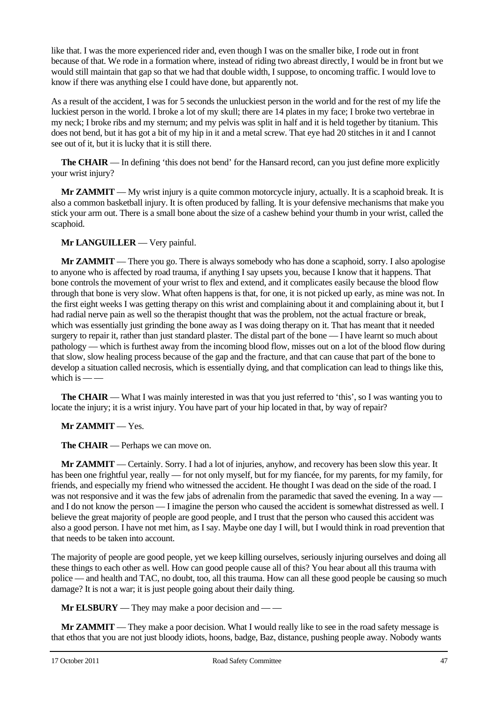like that. I was the more experienced rider and, even though I was on the smaller bike, I rode out in front because of that. We rode in a formation where, instead of riding two abreast directly, I would be in front but we would still maintain that gap so that we had that double width, I suppose, to oncoming traffic. I would love to know if there was anything else I could have done, but apparently not.

As a result of the accident, I was for 5 seconds the unluckiest person in the world and for the rest of my life the luckiest person in the world. I broke a lot of my skull; there are 14 plates in my face; I broke two vertebrae in my neck; I broke ribs and my sternum; and my pelvis was split in half and it is held together by titanium. This does not bend, but it has got a bit of my hip in it and a metal screw. That eye had 20 stitches in it and I cannot see out of it, but it is lucky that it is still there.

**The CHAIR** — In defining 'this does not bend' for the Hansard record, can you just define more explicitly your wrist injury?

**Mr ZAMMIT** — My wrist injury is a quite common motorcycle injury, actually. It is a scaphoid break. It is also a common basketball injury. It is often produced by falling. It is your defensive mechanisms that make you stick your arm out. There is a small bone about the size of a cashew behind your thumb in your wrist, called the scaphoid.

**Mr LANGUILLER** — Very painful.

**Mr ZAMMIT** — There you go. There is always somebody who has done a scaphoid, sorry. I also apologise to anyone who is affected by road trauma, if anything I say upsets you, because I know that it happens. That bone controls the movement of your wrist to flex and extend, and it complicates easily because the blood flow through that bone is very slow. What often happens is that, for one, it is not picked up early, as mine was not. In the first eight weeks I was getting therapy on this wrist and complaining about it and complaining about it, but I had radial nerve pain as well so the therapist thought that was the problem, not the actual fracture or break, which was essentially just grinding the bone away as I was doing therapy on it. That has meant that it needed surgery to repair it, rather than just standard plaster. The distal part of the bone — I have learnt so much about pathology — which is furthest away from the incoming blood flow, misses out on a lot of the blood flow during that slow, slow healing process because of the gap and the fracture, and that can cause that part of the bone to develop a situation called necrosis, which is essentially dying, and that complication can lead to things like this, which is  $-\frac{1}{2}$ 

**The CHAIR** — What I was mainly interested in was that you just referred to 'this', so I was wanting you to locate the injury; it is a wrist injury. You have part of your hip located in that, by way of repair?

**Mr ZAMMIT** — Yes.

**The CHAIR** — Perhaps we can move on.

**Mr ZAMMIT** — Certainly. Sorry. I had a lot of injuries, anyhow, and recovery has been slow this year. It has been one frightful year, really — for not only myself, but for my fiancée, for my parents, for my family, for friends, and especially my friend who witnessed the accident. He thought I was dead on the side of the road. I was not responsive and it was the few jabs of adrenalin from the paramedic that saved the evening. In a way – and I do not know the person — I imagine the person who caused the accident is somewhat distressed as well. I believe the great majority of people are good people, and I trust that the person who caused this accident was also a good person. I have not met him, as I say. Maybe one day I will, but I would think in road prevention that that needs to be taken into account.

The majority of people are good people, yet we keep killing ourselves, seriously injuring ourselves and doing all these things to each other as well. How can good people cause all of this? You hear about all this trauma with police — and health and TAC, no doubt, too, all this trauma. How can all these good people be causing so much damage? It is not a war; it is just people going about their daily thing.

**Mr ELSBURY** — They may make a poor decision and — —

**Mr ZAMMIT** — They make a poor decision. What I would really like to see in the road safety message is that ethos that you are not just bloody idiots, hoons, badge, Baz, distance, pushing people away. Nobody wants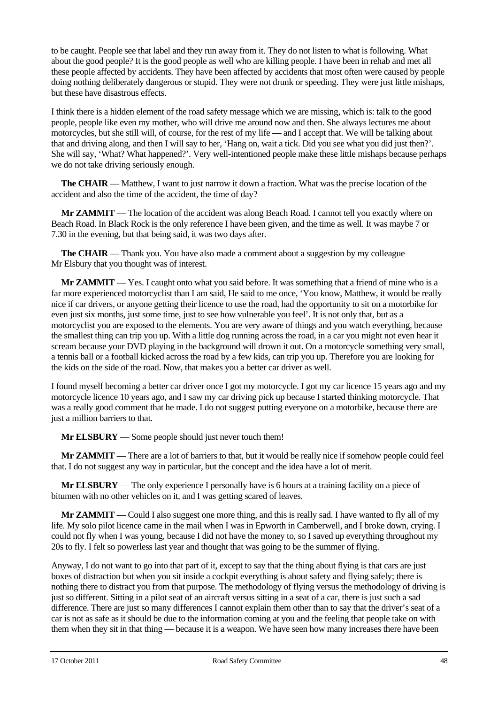to be caught. People see that label and they run away from it. They do not listen to what is following. What about the good people? It is the good people as well who are killing people. I have been in rehab and met all these people affected by accidents. They have been affected by accidents that most often were caused by people doing nothing deliberately dangerous or stupid. They were not drunk or speeding. They were just little mishaps, but these have disastrous effects.

I think there is a hidden element of the road safety message which we are missing, which is: talk to the good people, people like even my mother, who will drive me around now and then. She always lectures me about motorcycles, but she still will, of course, for the rest of my life — and I accept that. We will be talking about that and driving along, and then I will say to her, 'Hang on, wait a tick. Did you see what you did just then?'. She will say, 'What? What happened?'. Very well-intentioned people make these little mishaps because perhaps we do not take driving seriously enough.

**The CHAIR** — Matthew, I want to just narrow it down a fraction. What was the precise location of the accident and also the time of the accident, the time of day?

**Mr ZAMMIT** — The location of the accident was along Beach Road. I cannot tell you exactly where on Beach Road. In Black Rock is the only reference I have been given, and the time as well. It was maybe 7 or 7.30 in the evening, but that being said, it was two days after.

**The CHAIR** — Thank you. You have also made a comment about a suggestion by my colleague Mr Elsbury that you thought was of interest.

**Mr ZAMMIT** — Yes. I caught onto what you said before. It was something that a friend of mine who is a far more experienced motorcyclist than I am said, He said to me once, 'You know, Matthew, it would be really nice if car drivers, or anyone getting their licence to use the road, had the opportunity to sit on a motorbike for even just six months, just some time, just to see how vulnerable you feel'. It is not only that, but as a motorcyclist you are exposed to the elements. You are very aware of things and you watch everything, because the smallest thing can trip you up. With a little dog running across the road, in a car you might not even hear it scream because your DVD playing in the background will drown it out. On a motorcycle something very small, a tennis ball or a football kicked across the road by a few kids, can trip you up. Therefore you are looking for the kids on the side of the road. Now, that makes you a better car driver as well.

I found myself becoming a better car driver once I got my motorcycle. I got my car licence 15 years ago and my motorcycle licence 10 years ago, and I saw my car driving pick up because I started thinking motorcycle. That was a really good comment that he made. I do not suggest putting everyone on a motorbike, because there are just a million barriers to that.

**Mr ELSBURY** — Some people should just never touch them!

**Mr ZAMMIT** — There are a lot of barriers to that, but it would be really nice if somehow people could feel that. I do not suggest any way in particular, but the concept and the idea have a lot of merit.

**Mr ELSBURY** — The only experience I personally have is 6 hours at a training facility on a piece of bitumen with no other vehicles on it, and I was getting scared of leaves.

**Mr ZAMMIT** — Could I also suggest one more thing, and this is really sad. I have wanted to fly all of my life. My solo pilot licence came in the mail when I was in Epworth in Camberwell, and I broke down, crying. I could not fly when I was young, because I did not have the money to, so I saved up everything throughout my 20s to fly. I felt so powerless last year and thought that was going to be the summer of flying.

Anyway, I do not want to go into that part of it, except to say that the thing about flying is that cars are just boxes of distraction but when you sit inside a cockpit everything is about safety and flying safely; there is nothing there to distract you from that purpose. The methodology of flying versus the methodology of driving is just so different. Sitting in a pilot seat of an aircraft versus sitting in a seat of a car, there is just such a sad difference. There are just so many differences I cannot explain them other than to say that the driver's seat of a car is not as safe as it should be due to the information coming at you and the feeling that people take on with them when they sit in that thing — because it is a weapon. We have seen how many increases there have been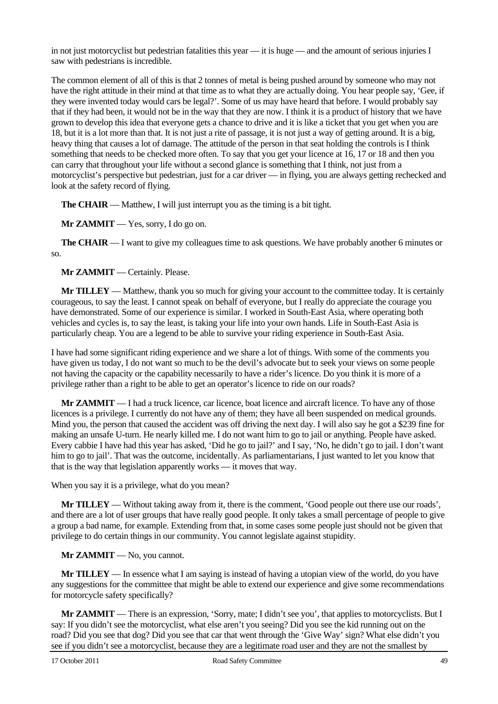in not just motorcyclist but pedestrian fatalities this year — it is huge — and the amount of serious injuries I saw with pedestrians is incredible.

The common element of all of this is that 2 tonnes of metal is being pushed around by someone who may not have the right attitude in their mind at that time as to what they are actually doing. You hear people say, 'Gee, if they were invented today would cars be legal?'. Some of us may have heard that before. I would probably say that if they had been, it would not be in the way that they are now. I think it is a product of history that we have grown to develop this idea that everyone gets a chance to drive and it is like a ticket that you get when you are 18, but it is a lot more than that. It is not just a rite of passage, it is not just a way of getting around. It is a big, heavy thing that causes a lot of damage. The attitude of the person in that seat holding the controls is I think something that needs to be checked more often. To say that you get your licence at 16, 17 or 18 and then you can carry that throughout your life without a second glance is something that I think, not just from a motorcyclist's perspective but pedestrian, just for a car driver — in flying, you are always getting rechecked and look at the safety record of flying.

**The CHAIR** — Matthew, I will just interrupt you as the timing is a bit tight.

**Mr ZAMMIT** — Yes, sorry, I do go on.

**The CHAIR** — I want to give my colleagues time to ask questions. We have probably another 6 minutes or so.

**Mr ZAMMIT** — Certainly. Please.

**Mr TILLEY** — Matthew, thank you so much for giving your account to the committee today. It is certainly courageous, to say the least. I cannot speak on behalf of everyone, but I really do appreciate the courage you have demonstrated. Some of our experience is similar. I worked in South-East Asia, where operating both vehicles and cycles is, to say the least, is taking your life into your own hands. Life in South-East Asia is particularly cheap. You are a legend to be able to survive your riding experience in South-East Asia.

I have had some significant riding experience and we share a lot of things. With some of the comments you have given us today, I do not want so much to be the devil's advocate but to seek your views on some people not having the capacity or the capability necessarily to have a rider's licence. Do you think it is more of a privilege rather than a right to be able to get an operator's licence to ride on our roads?

**Mr ZAMMIT** — I had a truck licence, car licence, boat licence and aircraft licence. To have any of those licences is a privilege. I currently do not have any of them; they have all been suspended on medical grounds. Mind you, the person that caused the accident was off driving the next day. I will also say he got a \$239 fine for making an unsafe U-turn. He nearly killed me. I do not want him to go to jail or anything. People have asked. Every cabbie I have had this year has asked, 'Did he go to jail?' and I say, 'No, he didn't go to jail. I don't want him to go to jail'. That was the outcome, incidentally. As parliamentarians, I just wanted to let you know that that is the way that legislation apparently works — it moves that way.

When you say it is a privilege, what do you mean?

**Mr TILLEY** — Without taking away from it, there is the comment, 'Good people out there use our roads', and there are a lot of user groups that have really good people. It only takes a small percentage of people to give a group a bad name, for example. Extending from that, in some cases some people just should not be given that privilege to do certain things in our community. You cannot legislate against stupidity.

## **Mr ZAMMIT** — No, you cannot.

**Mr TILLEY** — In essence what I am saying is instead of having a utopian view of the world, do you have any suggestions for the committee that might be able to extend our experience and give some recommendations for motorcycle safety specifically?

**Mr ZAMMIT** — There is an expression, 'Sorry, mate; I didn't see you', that applies to motorcyclists. But I say: If you didn't see the motorcyclist, what else aren't you seeing? Did you see the kid running out on the road? Did you see that dog? Did you see that car that went through the 'Give Way' sign? What else didn't you see if you didn't see a motorcyclist, because they are a legitimate road user and they are not the smallest by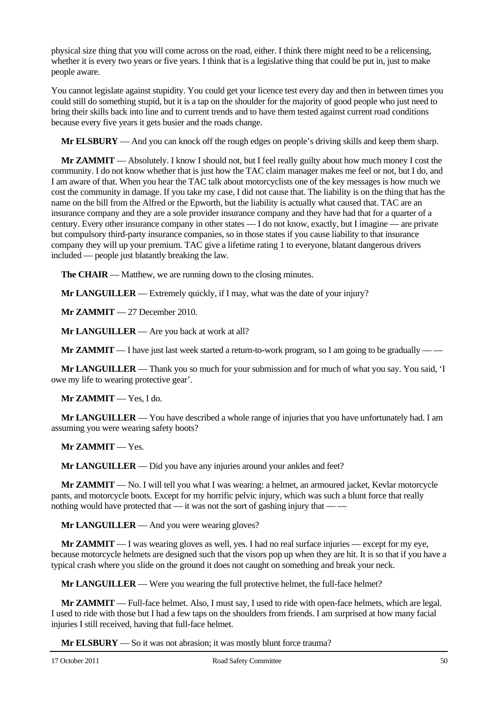physical size thing that you will come across on the road, either. I think there might need to be a relicensing, whether it is every two years or five years. I think that is a legislative thing that could be put in, just to make people aware.

You cannot legislate against stupidity. You could get your licence test every day and then in between times you could still do something stupid, but it is a tap on the shoulder for the majority of good people who just need to bring their skills back into line and to current trends and to have them tested against current road conditions because every five years it gets busier and the roads change.

**Mr ELSBURY** — And you can knock off the rough edges on people's driving skills and keep them sharp.

**Mr ZAMMIT** — Absolutely. I know I should not, but I feel really guilty about how much money I cost the community. I do not know whether that is just how the TAC claim manager makes me feel or not, but I do, and I am aware of that. When you hear the TAC talk about motorcyclists one of the key messages is how much we cost the community in damage. If you take my case, I did not cause that. The liability is on the thing that has the name on the bill from the Alfred or the Epworth, but the liability is actually what caused that. TAC are an insurance company and they are a sole provider insurance company and they have had that for a quarter of a century. Every other insurance company in other states — I do not know, exactly, but I imagine — are private but compulsory third-party insurance companies, so in those states if you cause liability to that insurance company they will up your premium. TAC give a lifetime rating 1 to everyone, blatant dangerous drivers included — people just blatantly breaking the law.

**The CHAIR** — Matthew, we are running down to the closing minutes.

**Mr LANGUILLER** — Extremely quickly, if I may, what was the date of your injury?

**Mr ZAMMIT** — 27 December 2010.

**Mr LANGUILLER** — Are you back at work at all?

**Mr ZAMMIT** — I have just last week started a return-to-work program, so I am going to be gradually — —

**Mr LANGUILLER** — Thank you so much for your submission and for much of what you say. You said, 'I owe my life to wearing protective gear'.

**Mr ZAMMIT** — Yes, I do.

**Mr LANGUILLER** — You have described a whole range of injuries that you have unfortunately had. I am assuming you were wearing safety boots?

**Mr ZAMMIT** — Yes.

**Mr LANGUILLER** — Did you have any injuries around your ankles and feet?

**Mr ZAMMIT** — No. I will tell you what I was wearing: a helmet, an armoured jacket, Kevlar motorcycle pants, and motorcycle boots. Except for my horrific pelvic injury, which was such a blunt force that really nothing would have protected that — it was not the sort of gashing injury that — —

**Mr LANGUILLER** — And you were wearing gloves?

**Mr ZAMMIT** — I was wearing gloves as well, yes. I had no real surface injuries — except for my eye, because motorcycle helmets are designed such that the visors pop up when they are hit. It is so that if you have a typical crash where you slide on the ground it does not caught on something and break your neck.

**Mr LANGUILLER** — Were you wearing the full protective helmet, the full-face helmet?

**Mr ZAMMIT** — Full-face helmet. Also, I must say, I used to ride with open-face helmets, which are legal. I used to ride with those but I had a few taps on the shoulders from friends. I am surprised at how many facial injuries I still received, having that full-face helmet.

**Mr ELSBURY** — So it was not abrasion; it was mostly blunt force trauma?